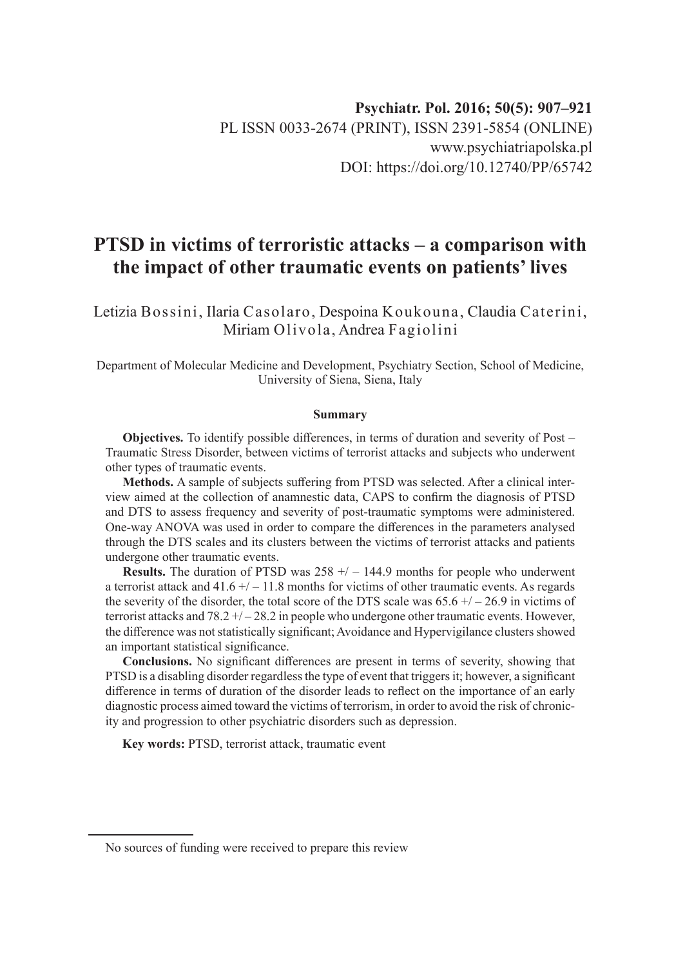# **PTSD in victims of terroristic attacks – a comparison with the impact of other traumatic events on patients' lives**

Letizia Bossini, Ilaria Casolaro, Despoina Koukouna, Claudia Caterini, Miriam Olivola, Andrea Fagiolini

Department of Molecular Medicine and Development, Psychiatry Section, School of Medicine, University of Siena, Siena, Italy

#### **Summary**

**Objectives.** To identify possible differences, in terms of duration and severity of Post – Traumatic Stress Disorder, between victims of terrorist attacks and subjects who underwent other types of traumatic events.

**Methods.** A sample of subjects suffering from PTSD was selected. After a clinical interview aimed at the collection of anamnestic data, CAPS to confirm the diagnosis of PTSD and DTS to assess frequency and severity of post-traumatic symptoms were administered. One-way ANOVA was used in order to compare the differences in the parameters analysed through the DTS scales and its clusters between the victims of terrorist attacks and patients undergone other traumatic events.

**Results.** The duration of PTSD was 258 +/ – 144.9 months for people who underwent a terrorist attack and  $41.6 + (-11.8$  months for victims of other traumatic events. As regards the severity of the disorder, the total score of the DTS scale was  $65.6 + / -26.9$  in victims of terrorist attacks and  $78.2 + (-28.2$  in people who undergone other traumatic events. However, the difference was not statistically significant; Avoidance and Hypervigilance clusters showed an important statistical significance.

**Conclusions.** No significant differences are present in terms of severity, showing that PTSD is a disabling disorder regardless the type of event that triggers it; however, a significant difference in terms of duration of the disorder leads to reflect on the importance of an early diagnostic process aimed toward the victims of terrorism, in order to avoid the risk of chronicity and progression to other psychiatric disorders such as depression.

**Key words:** PTSD, terrorist attack, traumatic event

No sources of funding were received to prepare this review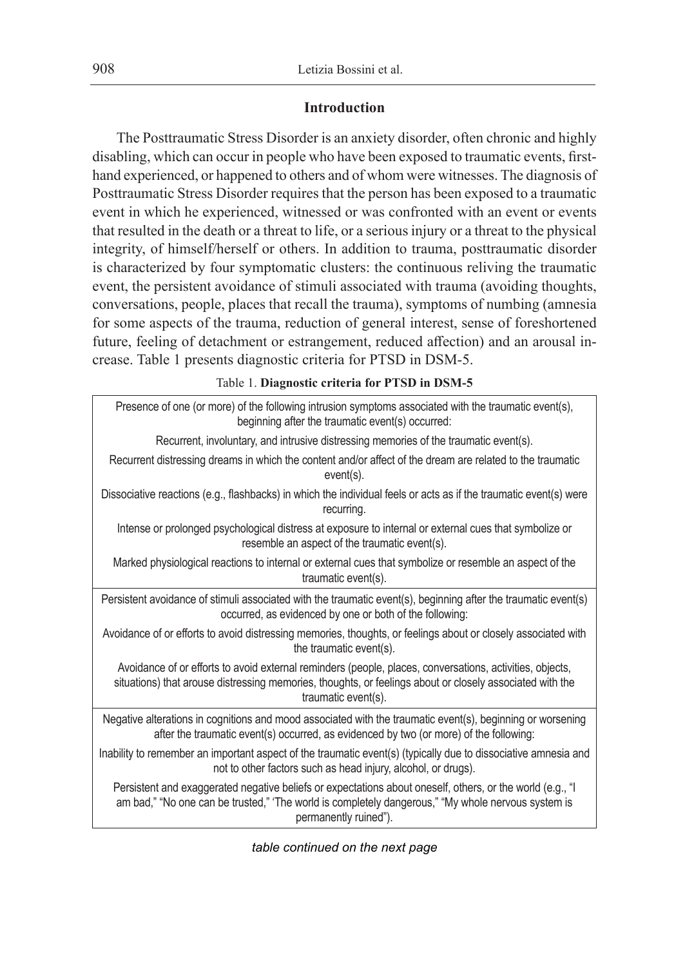# **Introduction**

The Posttraumatic Stress Disorder is an anxiety disorder, often chronic and highly disabling, which can occur in people who have been exposed to traumatic events, firsthand experienced, or happened to others and of whom were witnesses. The diagnosis of Posttraumatic Stress Disorder requires that the person has been exposed to a traumatic event in which he experienced, witnessed or was confronted with an event or events that resulted in the death or a threat to life, or a serious injury or a threat to the physical integrity, of himself/herself or others. In addition to trauma, posttraumatic disorder is characterized by four symptomatic clusters: the continuous reliving the traumatic event, the persistent avoidance of stimuli associated with trauma (avoiding thoughts, conversations, people, places that recall the trauma), symptoms of numbing (amnesia for some aspects of the trauma, reduction of general interest, sense of foreshortened future, feeling of detachment or estrangement, reduced affection) and an arousal increase. Table 1 presents diagnostic criteria for PTSD in DSM-5.

Table 1. **Diagnostic criteria for PTSD in DSM-5**

| Presence of one (or more) of the following intrusion symptoms associated with the traumatic event(s),<br>beginning after the traumatic event(s) occurred:                                                                                   |
|---------------------------------------------------------------------------------------------------------------------------------------------------------------------------------------------------------------------------------------------|
| Recurrent, involuntary, and intrusive distressing memories of the traumatic event(s).                                                                                                                                                       |
| Recurrent distressing dreams in which the content and/or affect of the dream are related to the traumatic<br>event(s).                                                                                                                      |
| Dissociative reactions (e.g., flashbacks) in which the individual feels or acts as if the traumatic event(s) were<br>recurring.                                                                                                             |
| Intense or prolonged psychological distress at exposure to internal or external cues that symbolize or<br>resemble an aspect of the traumatic event(s).                                                                                     |
| Marked physiological reactions to internal or external cues that symbolize or resemble an aspect of the<br>traumatic event(s).                                                                                                              |
| Persistent avoidance of stimuli associated with the traumatic event(s), beginning after the traumatic event(s)<br>occurred, as evidenced by one or both of the following:                                                                   |
| Avoidance of or efforts to avoid distressing memories, thoughts, or feelings about or closely associated with<br>the traumatic event(s).                                                                                                    |
| Avoidance of or efforts to avoid external reminders (people, places, conversations, activities, objects,<br>situations) that arouse distressing memories, thoughts, or feelings about or closely associated with the<br>traumatic event(s). |
| Negative alterations in cognitions and mood associated with the traumatic event(s), beginning or worsening<br>after the traumatic event(s) occurred, as evidenced by two (or more) of the following:                                        |
| Inability to remember an important aspect of the traumatic event(s) (typically due to dissociative amnesia and<br>not to other factors such as head injury, alcohol, or drugs).                                                             |
| Persistent and exaggerated negative beliefs or expectations about oneself, others, or the world (e.g., "I<br>am bad," "No one can be trusted," 'The world is completely dangerous," "My whole nervous system is<br>permanently ruined").    |

*table continued on the next page*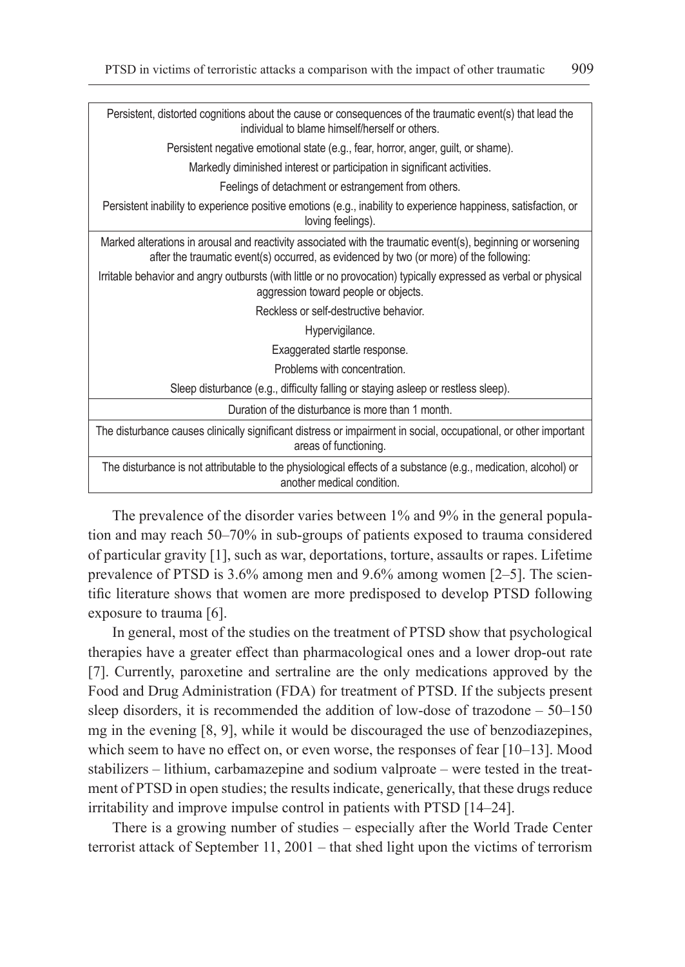|                                                                                   | Persistent, distorted cognitions about the cause or consequences of the traumatic event(s) that lead the<br>individual to blame himself/herself or others.                                            |  |  |  |  |  |
|-----------------------------------------------------------------------------------|-------------------------------------------------------------------------------------------------------------------------------------------------------------------------------------------------------|--|--|--|--|--|
| Persistent negative emotional state (e.g., fear, horror, anger, guilt, or shame). |                                                                                                                                                                                                       |  |  |  |  |  |
|                                                                                   | Markedly diminished interest or participation in significant activities.                                                                                                                              |  |  |  |  |  |
|                                                                                   | Feelings of detachment or estrangement from others.                                                                                                                                                   |  |  |  |  |  |
|                                                                                   | Persistent inability to experience positive emotions (e.g., inability to experience happiness, satisfaction, or<br>loving feelings).                                                                  |  |  |  |  |  |
|                                                                                   | Marked alterations in arousal and reactivity associated with the traumatic event(s), beginning or worsening<br>after the traumatic event(s) occurred, as evidenced by two (or more) of the following: |  |  |  |  |  |
|                                                                                   | Irritable behavior and angry outbursts (with little or no provocation) typically expressed as verbal or physical<br>aggression toward people or objects.                                              |  |  |  |  |  |
|                                                                                   | Reckless or self-destructive behavior.                                                                                                                                                                |  |  |  |  |  |
|                                                                                   | Hypervigilance.                                                                                                                                                                                       |  |  |  |  |  |
|                                                                                   | Exaggerated startle response.                                                                                                                                                                         |  |  |  |  |  |
|                                                                                   | Problems with concentration.                                                                                                                                                                          |  |  |  |  |  |
|                                                                                   | Sleep disturbance (e.g., difficulty falling or staying asleep or restless sleep).                                                                                                                     |  |  |  |  |  |
|                                                                                   | Duration of the disturbance is more than 1 month.                                                                                                                                                     |  |  |  |  |  |
|                                                                                   | The disturbance causes clinically significant distress or impairment in social, occupational, or other important<br>areas of functioning.                                                             |  |  |  |  |  |
|                                                                                   | The disturbance is not attributable to the physiological effects of a substance (e.g., medication, alcohol) or<br>another medical condition.                                                          |  |  |  |  |  |
|                                                                                   |                                                                                                                                                                                                       |  |  |  |  |  |

The prevalence of the disorder varies between 1% and 9% in the general population and may reach 50–70% in sub-groups of patients exposed to trauma considered of particular gravity [1], such as war, deportations, torture, assaults or rapes. Lifetime prevalence of PTSD is 3.6% among men and 9.6% among women [2–5]. The scientific literature shows that women are more predisposed to develop PTSD following exposure to trauma [6].

In general, most of the studies on the treatment of PTSD show that psychological therapies have a greater effect than pharmacological ones and a lower drop-out rate [7]. Currently, paroxetine and sertraline are the only medications approved by the Food and Drug Administration (FDA) for treatment of PTSD. If the subjects present sleep disorders, it is recommended the addition of low-dose of trazodone – 50–150 mg in the evening [8, 9], while it would be discouraged the use of benzodiazepines, which seem to have no effect on, or even worse, the responses of fear [10–13]. Mood stabilizers – lithium, carbamazepine and sodium valproate – were tested in the treatment of PTSD in open studies; the results indicate, generically, that these drugs reduce irritability and improve impulse control in patients with PTSD [14–24].

There is a growing number of studies – especially after the World Trade Center terrorist attack of September 11, 2001 – that shed light upon the victims of terrorism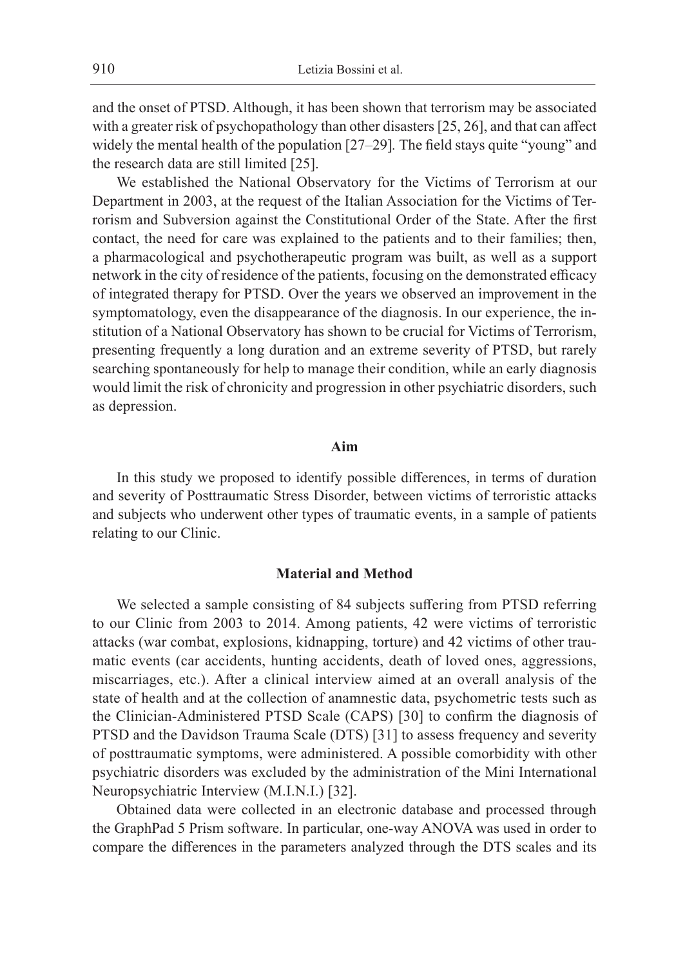and the onset of PTSD. Although, it has been shown that terrorism may be associated with a greater risk of psychopathology than other disasters [25, 26], and that can affect widely the mental health of the population [27–29]*.* The field stays quite "young" and the research data are still limited [25].

We established the National Observatory for the Victims of Terrorism at our Department in 2003, at the request of the Italian Association for the Victims of Terrorism and Subversion against the Constitutional Order of the State. After the first contact, the need for care was explained to the patients and to their families; then, a pharmacological and psychotherapeutic program was built, as well as a support network in the city of residence of the patients, focusing on the demonstrated efficacy of integrated therapy for PTSD. Over the years we observed an improvement in the symptomatology, even the disappearance of the diagnosis. In our experience, the institution of a National Observatory has shown to be crucial for Victims of Terrorism, presenting frequently a long duration and an extreme severity of PTSD, but rarely searching spontaneously for help to manage their condition, while an early diagnosis would limit the risk of chronicity and progression in other psychiatric disorders, such as depression.

# **Aim**

In this study we proposed to identify possible differences, in terms of duration and severity of Posttraumatic Stress Disorder, between victims of terroristic attacks and subjects who underwent other types of traumatic events, in a sample of patients relating to our Clinic.

### **Material and Method**

We selected a sample consisting of 84 subjects suffering from PTSD referring to our Clinic from 2003 to 2014. Among patients, 42 were victims of terroristic attacks (war combat, explosions, kidnapping, torture) and 42 victims of other traumatic events (car accidents, hunting accidents, death of loved ones, aggressions, miscarriages, etc.). After a clinical interview aimed at an overall analysis of the state of health and at the collection of anamnestic data, psychometric tests such as the Clinician-Administered PTSD Scale (CAPS) [30] to confirm the diagnosis of PTSD and the Davidson Trauma Scale (DTS) [31] to assess frequency and severity of posttraumatic symptoms, were administered. A possible comorbidity with other psychiatric disorders was excluded by the administration of the Mini International Neuropsychiatric Interview (M.I.N.I.) [32].

Obtained data were collected in an electronic database and processed through the GraphPad 5 Prism software. In particular, one-way ANOVA was used in order to compare the differences in the parameters analyzed through the DTS scales and its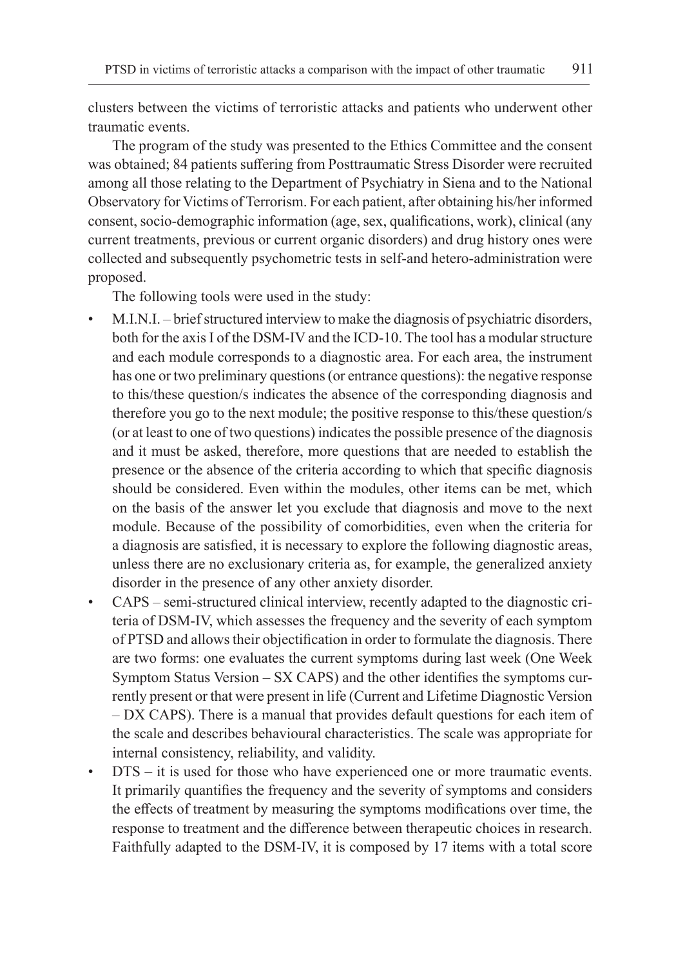clusters between the victims of terroristic attacks and patients who underwent other traumatic events.

The program of the study was presented to the Ethics Committee and the consent was obtained; 84 patients suffering from Posttraumatic Stress Disorder were recruited among all those relating to the Department of Psychiatry in Siena and to the National Observatory for Victims of Terrorism. For each patient, after obtaining his/her informed consent, socio-demographic information (age, sex, qualifications, work), clinical (any current treatments, previous or current organic disorders) and drug history ones were collected and subsequently psychometric tests in self-and hetero-administration were proposed.

The following tools were used in the study:

- M.I.N.I. brief structured interview to make the diagnosis of psychiatric disorders, both for the axis I of the DSM-IV and the ICD-10. The tool has a modular structure and each module corresponds to a diagnostic area. For each area, the instrument has one or two preliminary questions (or entrance questions): the negative response to this/these question/s indicates the absence of the corresponding diagnosis and therefore you go to the next module; the positive response to this/these question/s (or at least to one of two questions) indicates the possible presence of the diagnosis and it must be asked, therefore, more questions that are needed to establish the presence or the absence of the criteria according to which that specific diagnosis should be considered. Even within the modules, other items can be met, which on the basis of the answer let you exclude that diagnosis and move to the next module. Because of the possibility of comorbidities, even when the criteria for a diagnosis are satisfied, it is necessary to explore the following diagnostic areas, unless there are no exclusionary criteria as, for example, the generalized anxiety disorder in the presence of any other anxiety disorder.
- CAPS semi-structured clinical interview, recently adapted to the diagnostic criteria of DSM-IV, which assesses the frequency and the severity of each symptom of PTSD and allows their objectification in order to formulate the diagnosis. There are two forms: one evaluates the current symptoms during last week (One Week Symptom Status Version – SX CAPS) and the other identifies the symptoms currently present or that were present in life (Current and Lifetime Diagnostic Version – DX CAPS). There is a manual that provides default questions for each item of the scale and describes behavioural characteristics. The scale was appropriate for internal consistency, reliability, and validity.
- DTS it is used for those who have experienced one or more traumatic events. It primarily quantifies the frequency and the severity of symptoms and considers the effects of treatment by measuring the symptoms modifications over time, the response to treatment and the difference between therapeutic choices in research. Faithfully adapted to the DSM-IV, it is composed by 17 items with a total score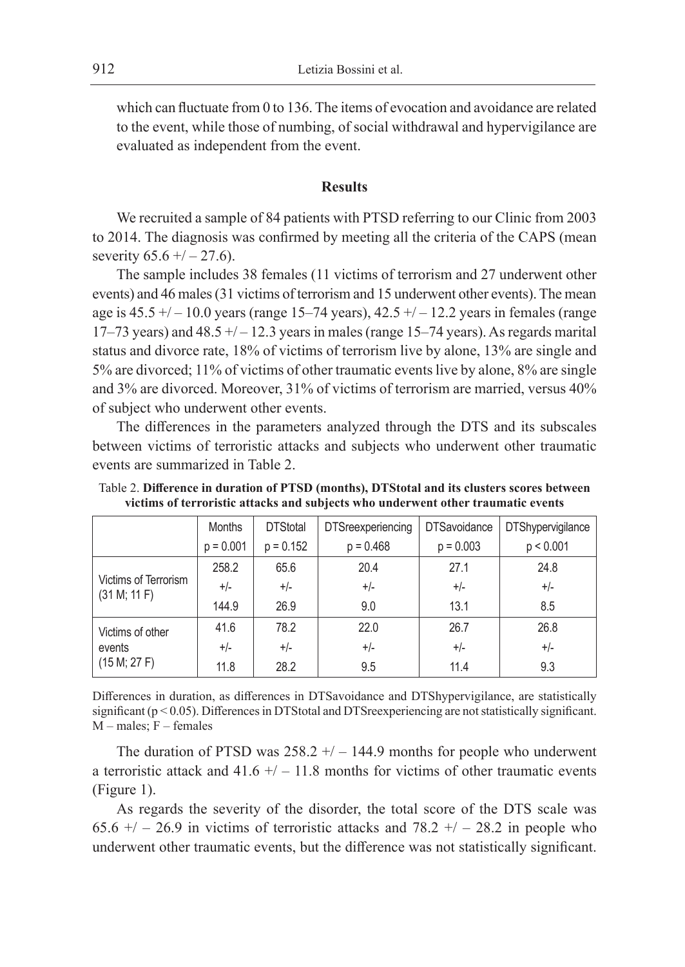which can fluctuate from 0 to 136. The items of evocation and avoidance are related to the event, while those of numbing, of social withdrawal and hypervigilance are evaluated as independent from the event.

## **Results**

We recruited a sample of 84 patients with PTSD referring to our Clinic from 2003 to 2014. The diagnosis was confirmed by meeting all the criteria of the CAPS (mean severity  $65.6 + (-27.6)$ .

The sample includes 38 females (11 victims of terrorism and 27 underwent other events) and 46 males (31 victims of terrorism and 15 underwent other events). The mean age is  $45.5 + / - 10.0$  years (range 15–74 years),  $42.5 + / - 12.2$  years in females (range 17–73 years) and  $48.5 + / - 12.3$  years in males (range 15–74 years). As regards marital status and divorce rate, 18% of victims of terrorism live by alone, 13% are single and 5% are divorced; 11% of victims of other traumatic events live by alone, 8% are single and 3% are divorced. Moreover, 31% of victims of terrorism are married, versus 40% of subject who underwent other events.

The differences in the parameters analyzed through the DTS and its subscales between victims of terroristic attacks and subjects who underwent other traumatic events are summarized in Table 2.

|                                            | Months      | <b>DTStotal</b> | <b>DTSreexperiencing</b> | <b>DTSavoidance</b> | <b>DTShypervigilance</b> |
|--------------------------------------------|-------------|-----------------|--------------------------|---------------------|--------------------------|
|                                            | $p = 0.001$ | $p = 0.152$     | $p = 0.468$              | $p = 0.003$         | p < 0.001                |
| Victims of Terrorism<br>(31 M; 11 F)       | 258.2       | 65.6            | 20.4                     | 27.1                | 24.8                     |
|                                            | $+/-$       | $+/-$           | $+/-$                    | $+/-$               | $+/-$                    |
|                                            | 144.9       | 26.9            | 9.0                      | 13.1                | 8.5                      |
| Victims of other<br>events<br>(15 M; 27 F) | 41.6        | 78.2            | 22.0                     | 26.7                | 26.8                     |
|                                            | $+/-$       | $+/-$           | $+/-$                    | $+/-$               | $+/-$                    |
|                                            | 11.8        | 28.2            | 9.5                      | 11.4                | 9.3                      |

Table 2. **Difference in duration of PTSD (months), DTStotal and its clusters scores between victims of terroristic attacks and subjects who underwent other traumatic events**

Differences in duration, as differences in DTSavoidance and DTShypervigilance, are statistically significant (p < 0.05). Differences in DTStotal and DTSreexperiencing are not statistically significant. M – males; F – females

The duration of PTSD was  $258.2 + / -144.9$  months for people who underwent a terroristic attack and  $41.6 +/ -11.8$  months for victims of other traumatic events (Figure 1).

As regards the severity of the disorder, the total score of the DTS scale was 65.6  $+/- 26.9$  in victims of terroristic attacks and 78.2  $+/- 28.2$  in people who underwent other traumatic events, but the difference was not statistically significant.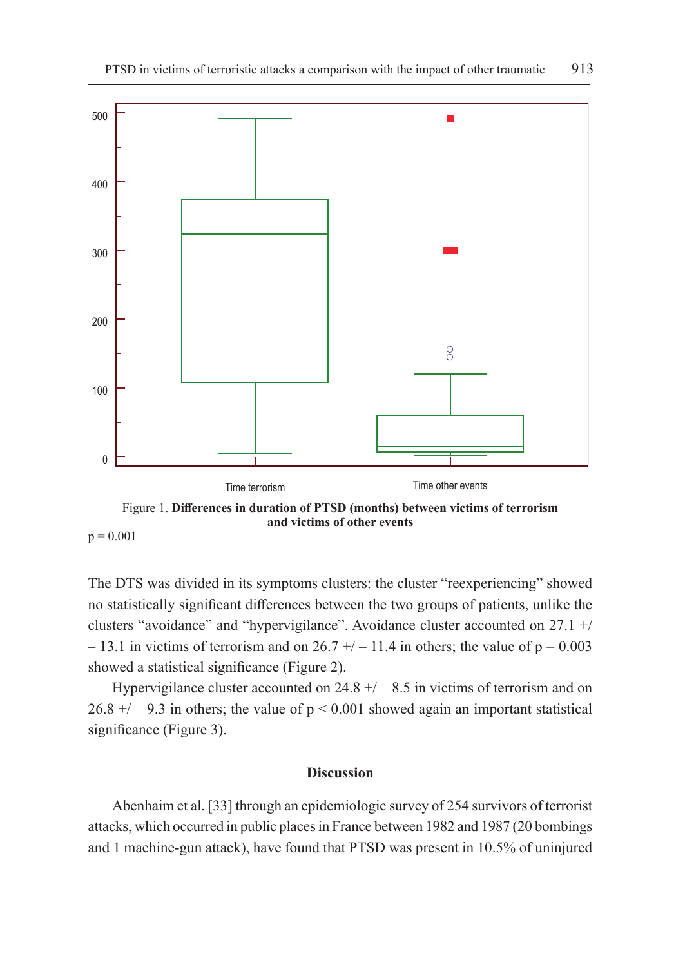

 $p = 0.001$ 

The DTS was divided in its symptoms clusters: the cluster "reexperiencing" showed no statistically significant differences between the two groups of patients, unlike the clusters "avoidance" and "hypervigilance". Avoidance cluster accounted on 27.1 +/ – 13.1 in victims of terrorism and on  $26.7 + / -11.4$  in others; the value of  $p = 0.003$ showed a statistical significance (Figure 2).

Hypervigilance cluster accounted on  $24.8 + / -8.5$  in victims of terrorism and on  $26.8 + / -9.3$  in others; the value of  $p < 0.001$  showed again an important statistical significance (Figure 3).

# **Discussion**

Abenhaim et al. [33] through an epidemiologic survey of 254 survivors of terrorist attacks, which occurred in public places in France between 1982 and 1987 (20 bombings and 1 machine-gun attack), have found that PTSD was present in 10.5% of uninjured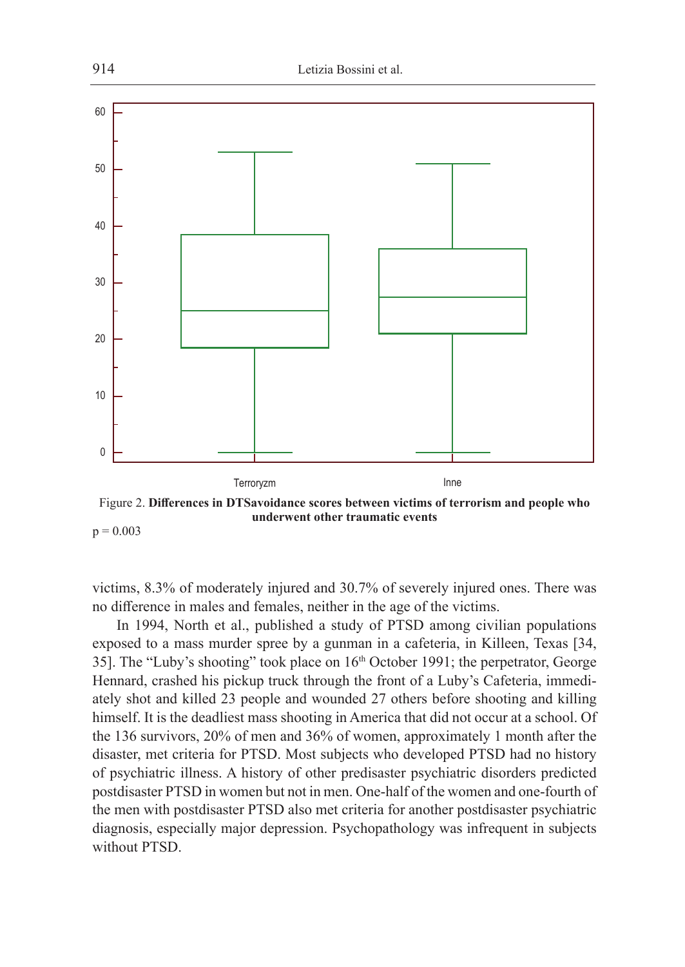

**underwent other traumatic events**  $p = 0.003$ 

victims, 8.3% of moderately injured and 30.7% of severely injured ones. There was no difference in males and females, neither in the age of the victims.

In 1994, North et al., published a study of PTSD among civilian populations exposed to a mass murder spree by a gunman in a cafeteria, in Killeen, Texas [34, 35]. The "Luby's shooting" took place on 16<sup>th</sup> October 1991; the perpetrator, George Hennard, crashed his pickup truck through the front of a Luby's Cafeteria, immediately shot and killed 23 people and wounded 27 others before shooting and killing himself. It is the deadliest mass shooting in America that did not occur at a school. Of the 136 survivors, 20% of men and 36% of women, approximately 1 month after the disaster, met criteria for PTSD. Most subjects who developed PTSD had no history of psychiatric illness. A history of other predisaster psychiatric disorders predicted postdisaster PTSD in women but not in men. One-half of the women and one-fourth of the men with postdisaster PTSD also met criteria for another postdisaster psychiatric diagnosis, especially major depression. Psychopathology was infrequent in subjects without PTSD.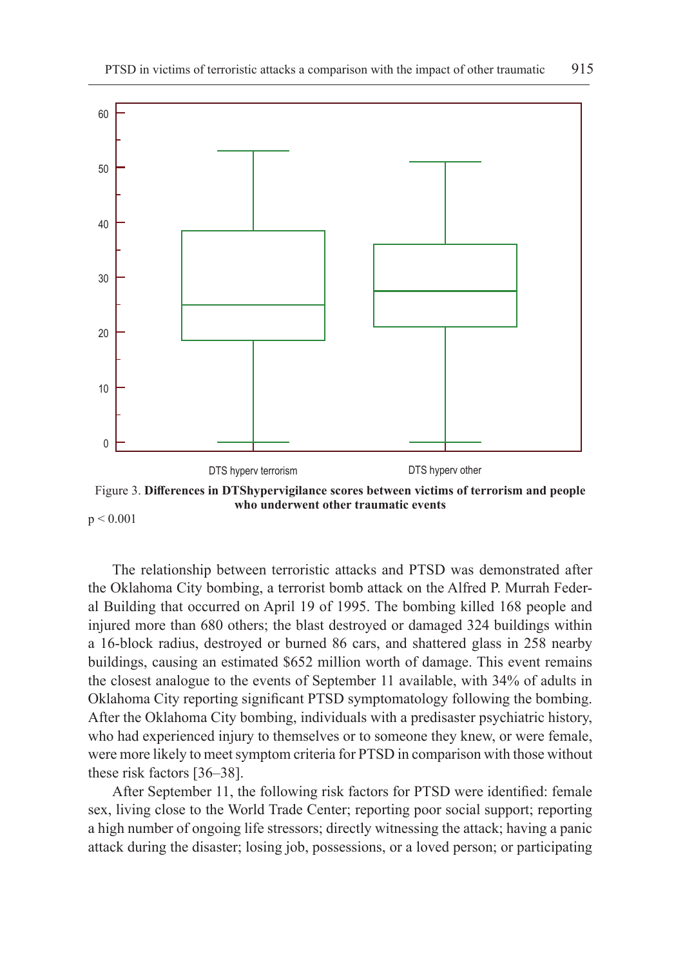

Figure 3. **Differences in DTShypervigilance scores between victims of terrorism and people who underwent other traumatic events**  $p < 0.001$ 

The relationship between terroristic attacks and PTSD was demonstrated after the Oklahoma City bombing, a terrorist bomb attack on the Alfred P. Murrah Federal Building that occurred on April 19 of 1995. The bombing killed 168 people and injured more than 680 others; the blast destroyed or damaged 324 buildings within a 16-block radius, destroyed or burned 86 cars, and shattered glass in 258 nearby buildings, causing an estimated \$652 million worth of damage. This event remains the closest analogue to the events of September 11 available, with 34% of adults in Oklahoma City reporting significant PTSD symptomatology following the bombing. After the Oklahoma City bombing, individuals with a predisaster psychiatric history, who had experienced injury to themselves or to someone they knew, or were female, were more likely to meet symptom criteria for PTSD in comparison with those without these risk factors [36–38].

After September 11, the following risk factors for PTSD were identified: female sex, living close to the World Trade Center; reporting poor social support; reporting a high number of ongoing life stressors; directly witnessing the attack; having a panic attack during the disaster; losing job, possessions, or a loved person; or participating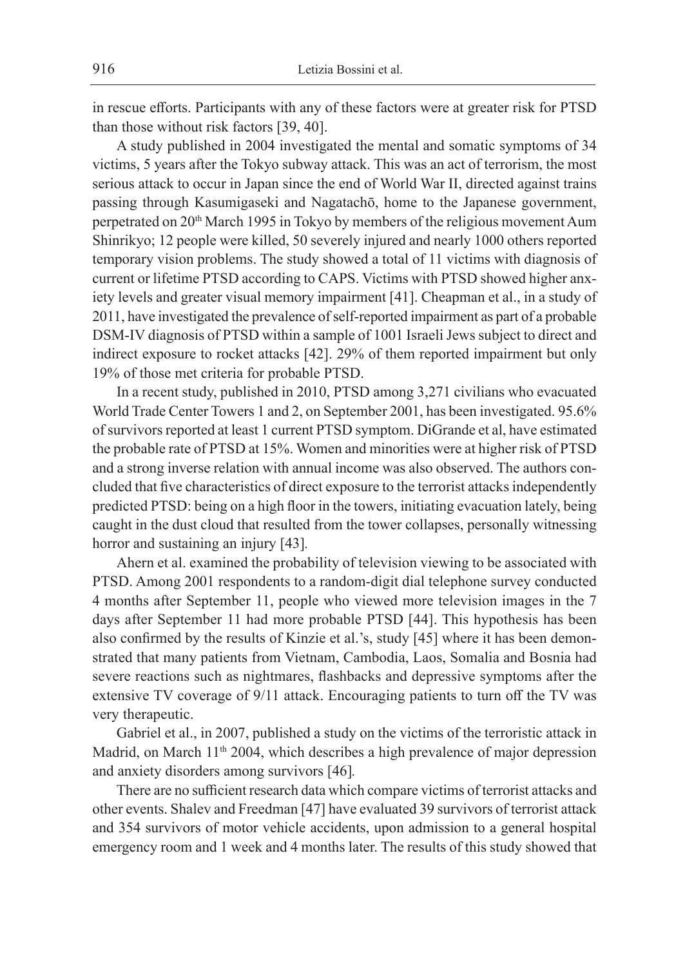in rescue efforts. Participants with any of these factors were at greater risk for PTSD than those without risk factors [39, 40].

A study published in 2004 investigated the mental and somatic symptoms of 34 victims, 5 years after the Tokyo subway attack. This was an act of terrorism, the most serious attack to occur in Japan since the end of World War II, directed against trains passing through Kasumigaseki and Nagatachō, home to the Japanese government, perpetrated on 20<sup>th</sup> March 1995 in Tokyo by members of the religious movement Aum Shinrikyo; 12 people were killed, 50 severely injured and nearly 1000 others reported temporary vision problems. The study showed a total of 11 victims with diagnosis of current or lifetime PTSD according to CAPS. Victims with PTSD showed higher anxiety levels and greater visual memory impairment [41]. Cheapman et al., in a study of 2011, have investigated the prevalence of self-reported impairment as part of a probable DSM-IV diagnosis of PTSD within a sample of 1001 Israeli Jews subject to direct and indirect exposure to rocket attacks [42]. 29% of them reported impairment but only 19% of those met criteria for probable PTSD.

In a recent study, published in 2010, PTSD among 3,271 civilians who evacuated World Trade Center Towers 1 and 2, on September 2001, has been investigated. 95.6% of survivors reported at least 1 current PTSD symptom. DiGrande et al, have estimated the probable rate of PTSD at 15%. Women and minorities were at higher risk of PTSD and a strong inverse relation with annual income was also observed. The authors concluded that five characteristics of direct exposure to the terrorist attacks independently predicted PTSD: being on a high floor in the towers, initiating evacuation lately, being caught in the dust cloud that resulted from the tower collapses, personally witnessing horror and sustaining an injury [43]*.*

Ahern et al. examined the probability of television viewing to be associated with PTSD. Among 2001 respondents to a random-digit dial telephone survey conducted 4 months after September 11, people who viewed more television images in the 7 days after September 11 had more probable PTSD [44]. This hypothesis has been also confirmed by the results of Kinzie et al.'s, study [45] where it has been demonstrated that many patients from Vietnam, Cambodia, Laos, Somalia and Bosnia had severe reactions such as nightmares, flashbacks and depressive symptoms after the extensive TV coverage of 9/11 attack. Encouraging patients to turn off the TV was very therapeutic.

Gabriel et al., in 2007, published a study on the victims of the terroristic attack in Madrid, on March 11<sup>th</sup> 2004, which describes a high prevalence of major depression and anxiety disorders among survivors [46]*.*

There are no sufficient research data which compare victims of terrorist attacks and other events. Shalev and Freedman [47] have evaluated 39 survivors of terrorist attack and 354 survivors of motor vehicle accidents, upon admission to a general hospital emergency room and 1 week and 4 months later. The results of this study showed that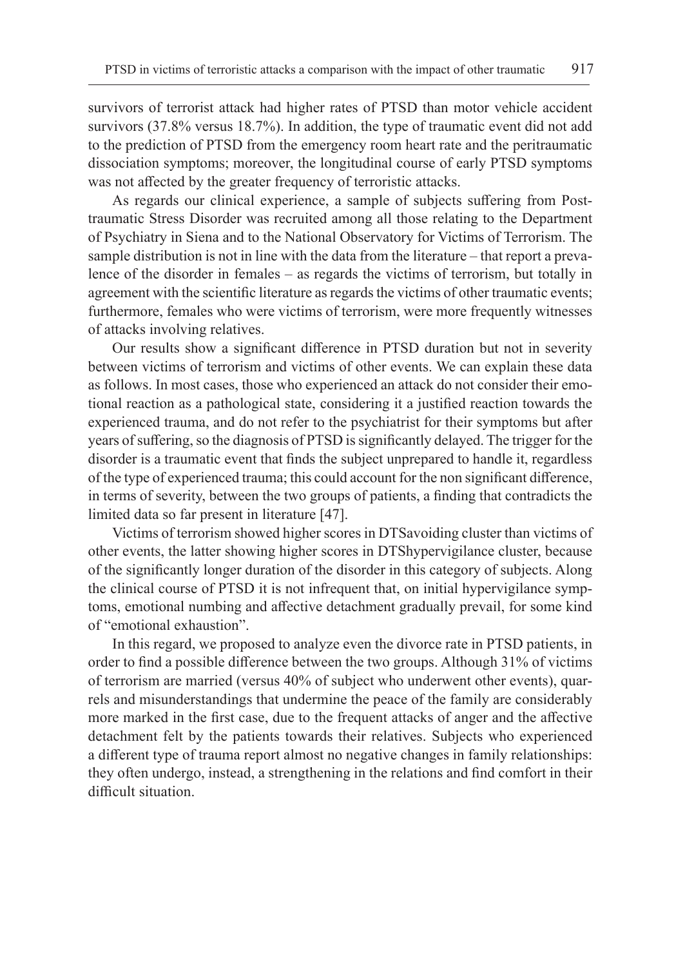survivors of terrorist attack had higher rates of PTSD than motor vehicle accident survivors (37.8% versus 18.7%). In addition, the type of traumatic event did not add to the prediction of PTSD from the emergency room heart rate and the peritraumatic dissociation symptoms; moreover, the longitudinal course of early PTSD symptoms was not affected by the greater frequency of terroristic attacks.

As regards our clinical experience, a sample of subjects suffering from Posttraumatic Stress Disorder was recruited among all those relating to the Department of Psychiatry in Siena and to the National Observatory for Victims of Terrorism. The sample distribution is not in line with the data from the literature – that report a prevalence of the disorder in females – as regards the victims of terrorism, but totally in agreement with the scientific literature as regards the victims of other traumatic events; furthermore, females who were victims of terrorism, were more frequently witnesses of attacks involving relatives.

Our results show a significant difference in PTSD duration but not in severity between victims of terrorism and victims of other events. We can explain these data as follows. In most cases, those who experienced an attack do not consider their emotional reaction as a pathological state, considering it a justified reaction towards the experienced trauma, and do not refer to the psychiatrist for their symptoms but after years of suffering, so the diagnosis of PTSD is significantly delayed. The trigger for the disorder is a traumatic event that finds the subject unprepared to handle it, regardless of the type of experienced trauma; this could account for the non significant difference, in terms of severity, between the two groups of patients, a finding that contradicts the limited data so far present in literature [47].

Victims of terrorism showed higher scores in DTSavoiding cluster than victims of other events, the latter showing higher scores in DTShypervigilance cluster, because of the significantly longer duration of the disorder in this category of subjects. Along the clinical course of PTSD it is not infrequent that, on initial hypervigilance symptoms, emotional numbing and affective detachment gradually prevail, for some kind of "emotional exhaustion".

In this regard, we proposed to analyze even the divorce rate in PTSD patients, in order to find a possible difference between the two groups. Although 31% of victims of terrorism are married (versus 40% of subject who underwent other events), quarrels and misunderstandings that undermine the peace of the family are considerably more marked in the first case, due to the frequent attacks of anger and the affective detachment felt by the patients towards their relatives. Subjects who experienced a different type of trauma report almost no negative changes in family relationships: they often undergo, instead, a strengthening in the relations and find comfort in their difficult situation.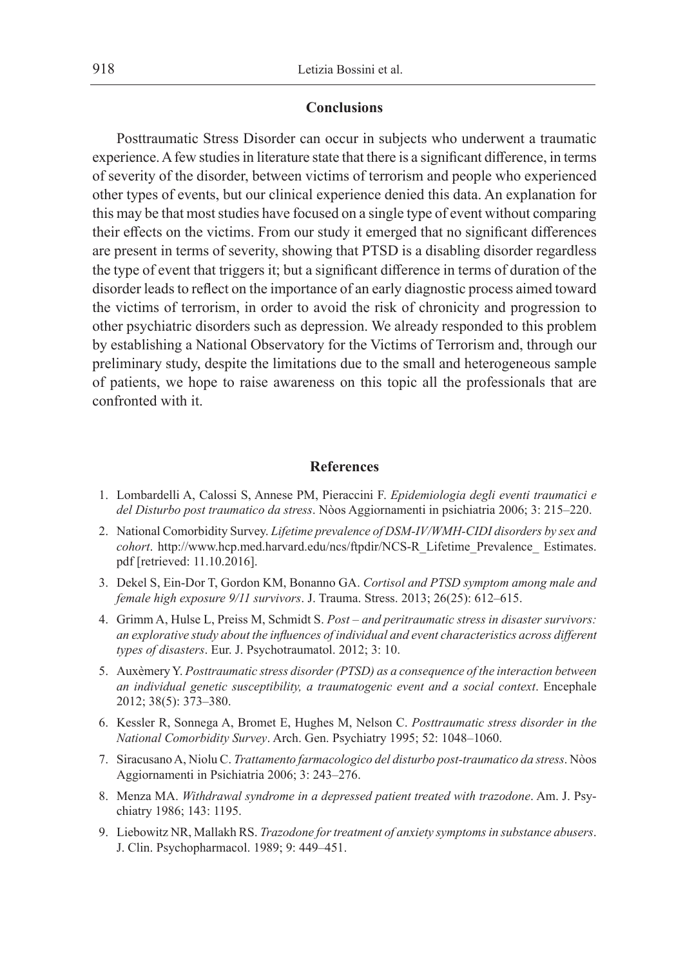#### **Conclusions**

Posttraumatic Stress Disorder can occur in subjects who underwent a traumatic experience. A few studies in literature state that there is a significant difference, in terms of severity of the disorder, between victims of terrorism and people who experienced other types of events, but our clinical experience denied this data. An explanation for this may be that most studies have focused on a single type of event without comparing their effects on the victims. From our study it emerged that no significant differences are present in terms of severity, showing that PTSD is a disabling disorder regardless the type of event that triggers it; but a significant difference in terms of duration of the disorder leads to reflect on the importance of an early diagnostic process aimed toward the victims of terrorism, in order to avoid the risk of chronicity and progression to other psychiatric disorders such as depression. We already responded to this problem by establishing a National Observatory for the Victims of Terrorism and, through our preliminary study, despite the limitations due to the small and heterogeneous sample of patients, we hope to raise awareness on this topic all the professionals that are confronted with it.

### **References**

- 1. Lombardelli A, Calossi S, Annese PM, Pieraccini F. *Epidemiologia degli eventi traumatici e del Disturbo post traumatico da stress*. Nòos Aggiornamenti in psichiatria 2006; 3: 215–220.
- 2. National Comorbidity Survey. *Lifetime prevalence of DSM-IV/WMH-CIDI disorders by sex and cohort*. http://www.hcp.med.harvard.edu/ncs/ftpdir/NCS-R\_Lifetime\_Prevalence\_ Estimates. pdf [retrieved: 11.10.2016].
- 3. Dekel S, Ein-Dor T, Gordon KM, Bonanno GA. *Cortisol and PTSD symptom among male and female high exposure 9/11 survivors*. J. Trauma. Stress. 2013; 26(25): 612–615.
- 4. Grimm A, Hulse L, Preiss M, Schmidt S. *Post and peritraumatic stress in disaster survivors: an explorative study about the influences of individual and event characteristics across different types of disasters*. Eur. J. Psychotraumatol. 2012; 3: 10.
- 5. Auxèmery Y. *Posttraumatic stress disorder (PTSD) as a consequence of the interaction between an individual genetic susceptibility, a traumatogenic event and a social context*. Encephale 2012; 38(5): 373–380.
- 6. Kessler R, Sonnega A, Bromet E, Hughes M, Nelson C. *Posttraumatic stress disorder in the National Comorbidity Survey*. Arch. Gen. Psychiatry 1995; 52: 1048–1060.
- 7. Siracusano A, Niolu C. *Trattamento farmacologico del disturbo post-traumatico da stress*. Nòos Aggiornamenti in Psichiatria 2006; 3: 243–276.
- 8. Menza MA. *Withdrawal syndrome in a depressed patient treated with trazodone*. Am. J. Psychiatry 1986; 143: 1195.
- 9. Liebowitz NR, Mallakh RS. *Trazodone for treatment of anxiety symptoms in substance abusers*. J. Clin. Psychopharmacol. 1989; 9: 449–451.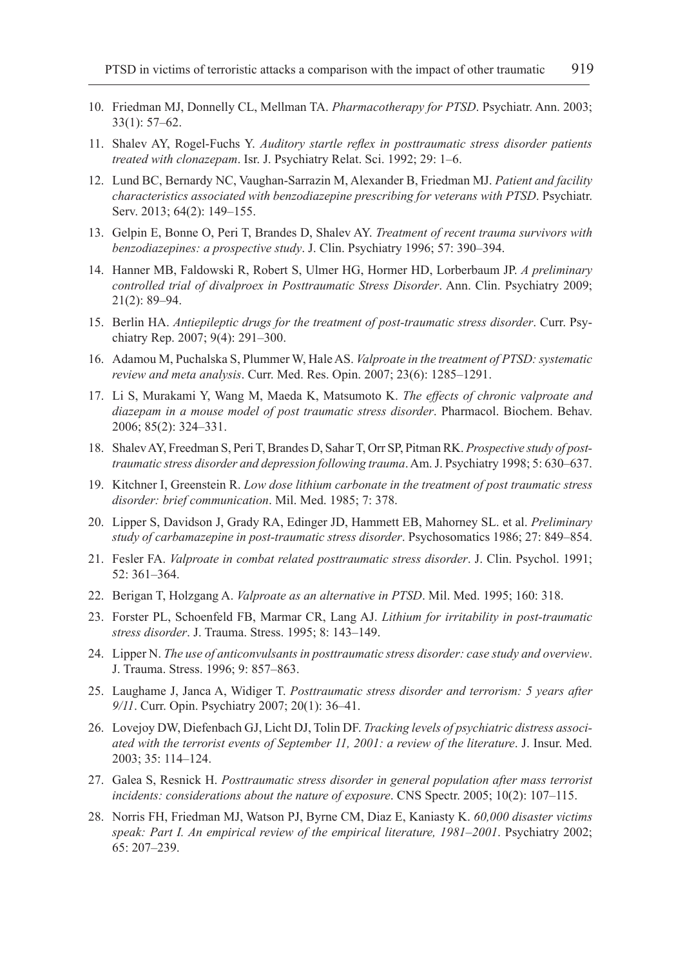- 10. Friedman MJ, Donnelly CL, Mellman TA. *Pharmacotherapy for PTSD*. Psychiatr. Ann. 2003; 33(1): 57–62.
- 11. Shalev AY, Rogel-Fuchs Y. *Auditory startle reflex in posttraumatic stress disorder patients treated with clonazepam*. Isr. J. Psychiatry Relat. Sci. 1992; 29: 1–6.
- 12. Lund BC, Bernardy NC, Vaughan-Sarrazin M, Alexander B, Friedman MJ. *Patient and facility characteristics associated with benzodiazepine prescribing for veterans with PTSD*. Psychiatr. Serv. 2013; 64(2): 149–155.
- 13. Gelpin E, Bonne O, Peri T, Brandes D, Shalev AY. *Treatment of recent trauma survivors with benzodiazepines: a prospective study*. J. Clin. Psychiatry 1996; 57: 390–394.
- 14. Hanner MB, Faldowski R, Robert S, Ulmer HG, Hormer HD, Lorberbaum JP. *A preliminary controlled trial of divalproex in Posttraumatic Stress Disorder*. Ann. Clin. Psychiatry 2009; 21(2): 89–94.
- 15. Berlin HA. *Antiepileptic drugs for the treatment of post-traumatic stress disorder*. Curr. Psychiatry Rep. 2007; 9(4): 291–300.
- 16. Adamou M, Puchalska S, Plummer W, Hale AS. *Valproate in the treatment of PTSD: systematic review and meta analysis*. Curr. Med. Res. Opin. 2007; 23(6): 1285–1291.
- 17. Li S, Murakami Y, Wang M, Maeda K, Matsumoto K. *The effects of chronic valproate and diazepam in a mouse model of post traumatic stress disorder*. Pharmacol. Biochem. Behav. 2006; 85(2): 324–331.
- 18. Shalev AY, Freedman S, Peri T, Brandes D, Sahar T, Orr SP, Pitman RK. *Prospective study of posttraumatic stress disorder and depression following trauma*. Am. J. Psychiatry 1998; 5: 630–637.
- 19. Kitchner I, Greenstein R. *Low dose lithium carbonate in the treatment of post traumatic stress disorder: brief communication*. Mil. Med. 1985; 7: 378.
- 20. Lipper S, Davidson J, Grady RA, Edinger JD, Hammett EB, Mahorney SL. et al. *Preliminary study of carbamazepine in post-traumatic stress disorder*. Psychosomatics 1986; 27: 849–854.
- 21. Fesler FA. *Valproate in combat related posttraumatic stress disorder*. J. Clin. Psychol. 1991; 52: 361–364.
- 22. Berigan T, Holzgang A. *Valproate as an alternative in PTSD*. Mil. Med. 1995; 160: 318.
- 23. Forster PL, Schoenfeld FB, Marmar CR, Lang AJ. *Lithium for irritability in post-traumatic stress disorder*. J. Trauma. Stress. 1995; 8: 143–149.
- 24. Lipper N. *The use of anticonvulsants in posttraumatic stress disorder: case study and overview*. J. Trauma. Stress. 1996; 9: 857–863.
- 25. Laughame J, Janca A, Widiger T. *Posttraumatic stress disorder and terrorism: 5 years after 9/11*. Curr. Opin. Psychiatry 2007; 20(1): 36–41.
- 26. Lovejoy DW, Diefenbach GJ, Licht DJ, Tolin DF. *Tracking levels of psychiatric distress associated with the terrorist events of September 11, 2001: a review of the literature*. J. Insur. Med. 2003; 35: 114–124.
- 27. Galea S, Resnick H. *Posttraumatic stress disorder in general population after mass terrorist incidents: considerations about the nature of exposure*. CNS Spectr. 2005; 10(2): 107–115.
- 28. Norris FH, Friedman MJ, Watson PJ, Byrne CM, Diaz E, Kaniasty K. *60,000 disaster victims speak: Part I. An empirical review of the empirical literature, 1981–2001*. Psychiatry 2002; 65: 207–239.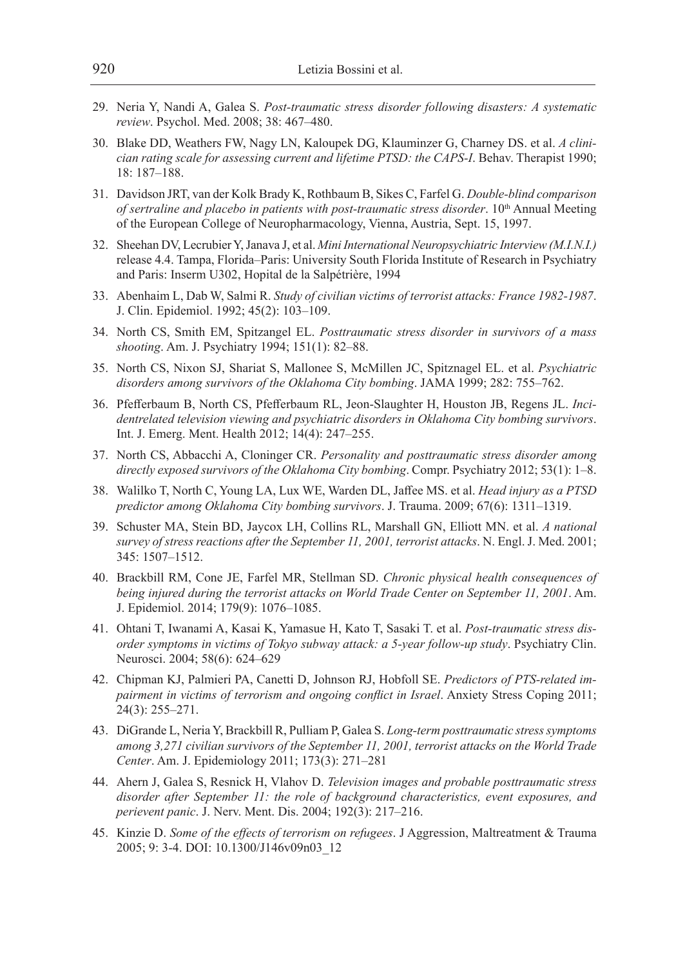- 29. Neria Y, Nandi A, Galea S. *Post-traumatic stress disorder following disasters: A systematic review*. Psychol. Med. 2008; 38: 467–480.
- 30. Blake DD, Weathers FW, Nagy LN, Kaloupek DG, Klauminzer G, Charney DS. et al. *A clinician rating scale for assessing current and lifetime PTSD: the CAPS-I*. Behav. Therapist 1990; 18: 187–188.
- 31. Davidson JRT, van der Kolk Brady K, Rothbaum B, Sikes C, Farfel G. *Double-blind comparison of sertraline and placebo in patients with post-traumatic stress disorder*. 10<sup>th</sup> Annual Meeting of the European College of Neuropharmacology, Vienna, Austria, Sept. 15, 1997.
- 32. Sheehan DV, Lecrubier Y, Janava J, et al. *Mini International Neuropsychiatric Interview (M.I.N.I.)*  release 4.4. Tampa, Florida–Paris: University South Florida Institute of Research in Psychiatry and Paris: Inserm U302, Hopital de la Salpétrière, 1994
- 33. Abenhaim L, Dab W, Salmi R. *Study of civilian victims of terrorist attacks: France 1982-1987*. J. Clin. Epidemiol. 1992; 45(2): 103–109.
- 34. North CS, Smith EM, Spitzangel EL. *Posttraumatic stress disorder in survivors of a mass shooting*. Am. J. Psychiatry 1994; 151(1): 82–88.
- 35. North CS, Nixon SJ, Shariat S, Mallonee S, McMillen JC, Spitznagel EL. et al. *Psychiatric disorders among survivors of the Oklahoma City bombing*. JAMA 1999; 282: 755–762.
- 36. Pfefferbaum B, North CS, Pfefferbaum RL, Jeon-Slaughter H, Houston JB, Regens JL. *Incidentrelated television viewing and psychiatric disorders in Oklahoma City bombing survivors*. Int. J. Emerg. Ment. Health 2012; 14(4): 247–255.
- 37. North CS, Abbacchi A, Cloninger CR. *Personality and posttraumatic stress disorder among directly exposed survivors of the Oklahoma City bombing*. Compr. Psychiatry 2012; 53(1): 1–8.
- 38. Walilko T, North C, Young LA, Lux WE, Warden DL, Jaffee MS. et al. *Head injury as a PTSD predictor among Oklahoma City bombing survivors*. J. Trauma. 2009; 67(6): 1311–1319.
- 39. Schuster MA, Stein BD, Jaycox LH, Collins RL, Marshall GN, Elliott MN. et al. *A national survey of stress reactions after the September 11, 2001, terrorist attacks*. N. Engl. J. Med. 2001; 345: 1507–1512.
- 40. Brackbill RM, Cone JE, Farfel MR, Stellman SD. *Chronic physical health consequences of being injured during the terrorist attacks on World Trade Center on September 11, 2001*. Am. J. Epidemiol. 2014; 179(9): 1076–1085.
- 41. Ohtani T, Iwanami A, Kasai K, Yamasue H, Kato T, Sasaki T. et al. *Post-traumatic stress disorder symptoms in victims of Tokyo subway attack: a 5-year follow-up study*. Psychiatry Clin. Neurosci. 2004; 58(6): 624–629
- 42. Chipman KJ, Palmieri PA, Canetti D, Johnson RJ, Hobfoll SE. *Predictors of PTS-related impairment in victims of terrorism and ongoing conflict in Israel*. Anxiety Stress Coping 2011; 24(3): 255–271.
- 43. DiGrande L, Neria Y, Brackbill R, Pulliam P, Galea S. *Long-term posttraumatic stress symptoms among 3,271 civilian survivors of the September 11, 2001, terrorist attacks on the World Trade Center*. Am. J. Epidemiology 2011; 173(3): 271–281
- 44. Ahern J, Galea S, Resnick H, Vlahov D. *Television images and probable posttraumatic stress disorder after September 11: the role of background characteristics, event exposures, and perievent panic*. J. Nerv. Ment. Dis. 2004; 192(3): 217–216.
- 45. Kinzie D. *Some of the effects of terrorism on refugees*. J Aggression, Maltreatment & Trauma 2005; 9: 3-4. DOI: 10.1300/J146v09n03\_12